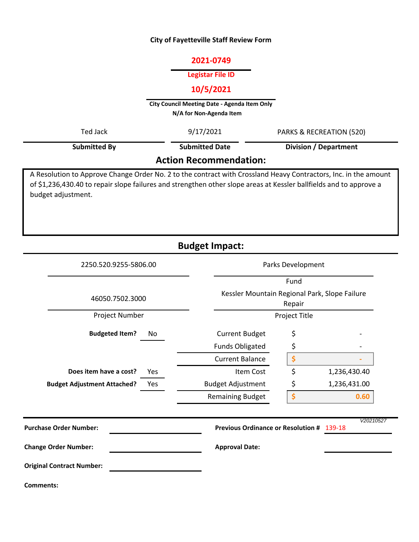#### **City of Fayetteville Staff Review Form**

# **2021-0749**

#### **Legistar File ID**

# **10/5/2021**

**City Council Meeting Date - Agenda Item Only N/A for Non-Agenda Item** 

| Ted Jack     | 9/17/2021                     | PARKS & RECREATION (520)     |
|--------------|-------------------------------|------------------------------|
| Submitted By | <b>Submitted Date</b>         | <b>Division / Department</b> |
|              | <b>Action Recommendation:</b> |                              |

A Resolution to Approve Change Order No. 2 to the contract with Crossland Heavy Contractors, Inc. in the amount of \$1,236,430.40 to repair slope failures and strengthen other slope areas at Kessler ballfields and to approve a budget adjustment.

**Budget Impact:**

| 2250.520.9255-5806.00                     |                                                         | Parks Development |              |  |  |  |
|-------------------------------------------|---------------------------------------------------------|-------------------|--------------|--|--|--|
|                                           |                                                         | Fund              |              |  |  |  |
| 46050.7502.3000                           | Kessler Mountain Regional Park, Slope Failure<br>Repair |                   |              |  |  |  |
| Project Number                            |                                                         | Project Title     |              |  |  |  |
| <b>Budgeted Item?</b><br>No               | <b>Current Budget</b>                                   | \$                |              |  |  |  |
|                                           | <b>Funds Obligated</b>                                  | \$                |              |  |  |  |
|                                           | <b>Current Balance</b>                                  | \$                |              |  |  |  |
| Does item have a cost?<br>Yes             | Item Cost                                               | \$                | 1,236,430.40 |  |  |  |
| <b>Budget Adjustment Attached?</b><br>Yes | <b>Budget Adjustment</b>                                | \$                | 1,236,431.00 |  |  |  |
|                                           | <b>Remaining Budget</b>                                 | \$                | 0.60         |  |  |  |
| <b>Purchase Order Number:</b>             | Previous Ordinance or Resolution # 139-18               |                   | V20210527    |  |  |  |
| <b>Change Order Number:</b>               | <b>Approval Date:</b>                                   |                   |              |  |  |  |
| <b>Original Contract Number:</b>          |                                                         |                   |              |  |  |  |
| <b>Comments:</b>                          |                                                         |                   |              |  |  |  |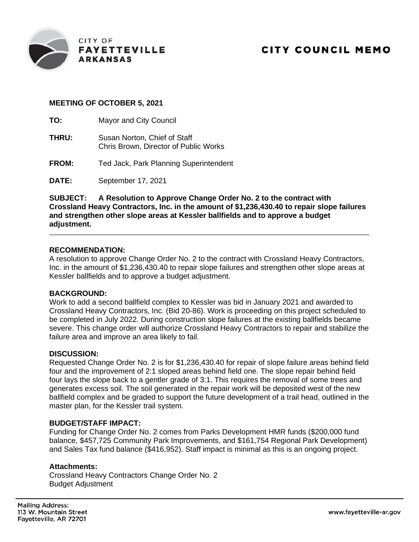

# **MEETING OF OCTOBER 5, 2021**

**TO:** Mayor and City Council

- **THRU:** Susan Norton, Chief of Staff Chris Brown, Director of Public Works
- **FROM:** Ted Jack, Park Planning Superintendent

**DATE:** September 17, 2021

**SUBJECT: A Resolution to Approve Change Order No. 2 to the contract with Crossland Heavy Contractors, Inc. in the amount of \$1,236,430.40 to repair slope failures and strengthen other slope areas at Kessler ballfields and to approve a budget adjustment.**

### **RECOMMENDATION:**

A resolution to approve Change Order No. 2 to the contract with Crossland Heavy Contractors, Inc. in the amount of \$1,236,430.40 to repair slope failures and strengthen other slope areas at Kessler ballfields and to approve a budget adjustment.

# **BACKGROUND:**

Work to add a second ballfield complex to Kessler was bid in January 2021 and awarded to Crossland Heavy Contractors, Inc. (Bid 20-86). Work is proceeding on this project scheduled to be completed in July 2022. During construction slope failures at the existing ballfields became severe. This change order will authorize Crossland Heavy Contractors to repair and stabilize the failure area and improve an area likely to fail.

### **DISCUSSION:**

Requested Change Order No. 2 is for \$1,236,430.40 for repair of slope failure areas behind field four and the improvement of 2:1 sloped areas behind field one. The slope repair behind field four lays the slope back to a gentler grade of 3:1. This requires the removal of some trees and generates excess soil. The soil generated in the repair work will be deposited west of the new ballfield complex and be graded to support the future development of a trail head, outlined in the master plan, for the Kessler trail system.

### **BUDGET/STAFF IMPACT:**

Funding for Change Order No. 2 comes from Parks Development HMR funds (\$200,000 fund balance, \$457,725 Community Park Improvements, and \$161,754 Regional Park Development) and Sales Tax fund balance (\$416,952). Staff impact is minimal as this is an ongoing project.

### **Attachments:**

Crossland Heavy Contractors Change Order No. 2 Budget Adjustment